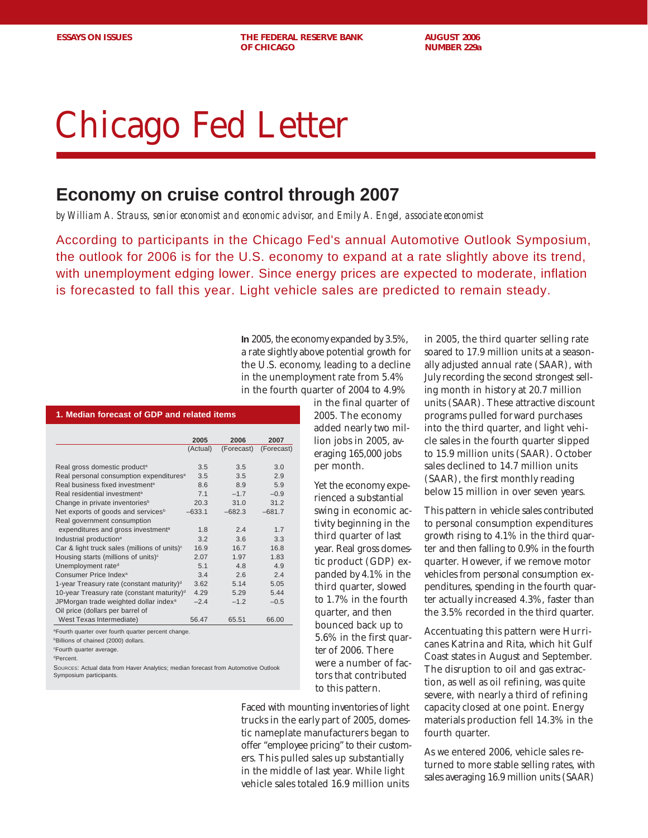**ESSAYS ON ISSUES THE FEDERAL RESERVE BANK AUGUST 2006 OF CHICAGO NUMBER 229a** 

# Chicago Fed Letter

# **Economy on cruise control through 2007**

*by William A. Strauss, senior economist and economic advisor, and Emily A. Engel, associate economist*

According to participants in the Chicago Fed's annual Automotive Outlook Symposium, the outlook for 2006 is for the U.S. economy to expand at a rate slightly above its trend, with unemployment edging lower. Since energy prices are expected to moderate, inflation is forecasted to fall this year. Light vehicle sales are predicted to remain steady.

> **In** 2005, the economy expanded by 3.5%, a rate slightly above potential growth for the U.S. economy, leading to a decline in the unemployment rate from 5.4% in the fourth quarter of 2004 to 4.9%

> > in the final quarter of 2005. The economy added nearly two million jobs in 2005, averaging 165,000 jobs per month.

Yet the economy experienced a substantial swing in economic activity beginning in the third quarter of last year. Real gross domestic product (GDP) expanded by 4.1% in the third quarter, slowed to 1.7% in the fourth quarter, and then bounced back up to 5.6% in the first quarter of 2006. There were a number of factors that contributed to this pattern.

Faced with mounting inventories of light trucks in the early part of 2005, domestic nameplate manufacturers began to offer "employee pricing" to their customers. This pulled sales up substantially in the middle of last year. While light vehicle sales totaled 16.9 million units

in 2005, the third quarter selling rate soared to 17.9 million units at a seasonally adjusted annual rate (SAAR), with July recording the second strongest selling month in history at 20.7 million units (SAAR). These attractive discount programs pulled forward purchases into the third quarter, and light vehicle sales in the fourth quarter slipped to 15.9 million units (SAAR). October sales declined to 14.7 million units (SAAR), the first monthly reading below 15 million in over seven years.

This pattern in vehicle sales contributed to personal consumption expenditures growth rising to 4.1% in the third quarter and then falling to 0.9% in the fourth quarter. However, if we remove motor vehicles from personal consumption expenditures, spending in the fourth quarter actually increased 4.3%, faster than the 3.5% recorded in the third quarter.

Accentuating this pattern were Hurricanes Katrina and Rita, which hit Gulf Coast states in August and September. The disruption to oil and gas extraction, as well as oil refining, was quite severe, with nearly a third of refining capacity closed at one point. Energy materials production fell 14.3% in the fourth quarter.

As we entered 2006, vehicle sales returned to more stable selling rates, with sales averaging 16.9 million units (SAAR)

#### **1. Median forecast of GDP and related items**

|                                                          | 2005     | 2006       | 2007       |
|----------------------------------------------------------|----------|------------|------------|
|                                                          | (Actual) | (Forecast) | (Forecast) |
|                                                          |          |            |            |
| Real gross domestic product <sup>a</sup>                 | 3.5      | 3.5        | 3.0        |
| Real personal consumption expenditures <sup>a</sup>      | 3.5      | 3.5        | 29         |
| Real business fixed investment <sup>a</sup>              | 86       | 89         | 5.9        |
| Real residential investment <sup>a</sup>                 | 71       | $-1.7$     | $-0.9$     |
| Change in private inventories <sup>b</sup>               | 20.3     | 31.0       | 312        |
| Net exports of goods and services <sup>b</sup>           | $-633.1$ | $-682.3$   | $-681.7$   |
| Real government consumption                              |          |            |            |
| expenditures and gross investment <sup>a</sup>           | 18       | 24         | 1.7        |
| Industrial production <sup>a</sup>                       | 3.2      | 3.6        | 3.3        |
| Car & light truck sales (millions of units) <sup>c</sup> | 16.9     | 16.7       | 16.8       |
| Housing starts (millions of units) $\circ$               | 2.07     | 1 97       | 183        |
| Unemployment rate <sup>d</sup>                           | 5.1      | 4.8        | 4.9        |
| Consumer Price Index <sup>a</sup>                        | 3.4      | 26         | 24         |
| 1-year Treasury rate (constant maturity) <sup>d</sup>    | 3.62     | 5 1 4      | 5.05       |
| 10-year Treasury rate (constant maturity) <sup>d</sup>   | 4.29     | 5.29       | 5.44       |
| JPMorgan trade weighted dollar index <sup>a</sup>        | $-2.4$   | $-1.2$     | $-0.5$     |
| Oil price (dollars per barrel of                         |          |            |            |
| West Texas Intermediate)                                 | 56.47    | 65.51      | 66.00      |

aFourth quarter over fourth quarter percent change.

**Billions of chained (2000) dollars.** 

c Fourth quarter average.

d Percent.

SOURCES: Actual data from Haver Analytics; median forecast from Automotive Outlook Symposium participants.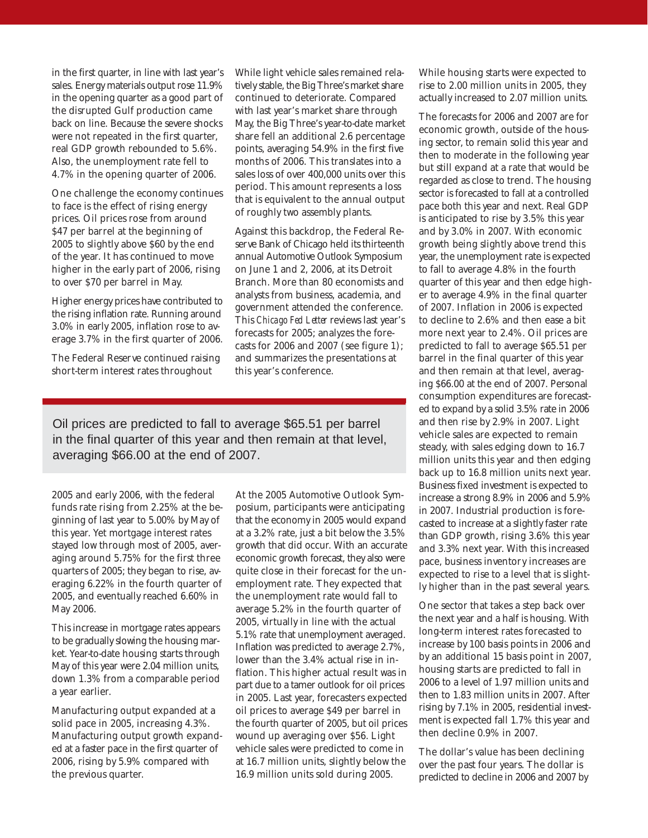in the first quarter, in line with last year's sales. Energy materials output rose 11.9% in the opening quarter as a good part of the disrupted Gulf production came back on line. Because the severe shocks were not repeated in the first quarter, real GDP growth rebounded to 5.6%. Also, the unemployment rate fell to 4.7% in the opening quarter of 2006.

One challenge the economy continues to face is the effect of rising energy prices. Oil prices rose from around \$47 per barrel at the beginning of 2005 to slightly above \$60 by the end of the year. It has continued to move higher in the early part of 2006, rising to over \$70 per barrel in May.

Higher energy prices have contributed to the rising inflation rate. Running around 3.0% in early 2005, inflation rose to average 3.7% in the first quarter of 2006.

The Federal Reserve continued raising short-term interest rates throughout

While light vehicle sales remained relatively stable, the Big Three's market share continued to deteriorate. Compared with last year's market share through May, the Big Three's year-to-date market share fell an additional 2.6 percentage points, averaging 54.9% in the first five months of 2006. This translates into a sales loss of over 400,000 units over this period. This amount represents a loss that is equivalent to the annual output of roughly two assembly plants.

Against this backdrop, the Federal Reserve Bank of Chicago held its thirteenth annual Automotive Outlook Symposium on June 1 and 2, 2006, at its Detroit Branch. More than 80 economists and analysts from business, academia, and government attended the conference. This *Chicago Fed Letter* reviews last year's forecasts for 2005; analyzes the forecasts for 2006 and 2007 (see figure 1); and summarizes the presentations at this year's conference.

Oil prices are predicted to fall to average \$65.51 per barrel in the final quarter of this year and then remain at that level, averaging \$66.00 at the end of 2007.

2005 and early 2006, with the federal funds rate rising from 2.25% at the beginning of last year to 5.00% by May of this year. Yet mortgage interest rates stayed low through most of 2005, averaging around 5.75% for the first three quarters of 2005; they began to rise, averaging 6.22% in the fourth quarter of 2005, and eventually reached 6.60% in May 2006.

This increase in mortgage rates appears to be gradually slowing the housing market. Year-to-date housing starts through May of this year were 2.04 million units, down 1.3% from a comparable period a year earlier.

Manufacturing output expanded at a solid pace in 2005, increasing 4.3%. Manufacturing output growth expanded at a faster pace in the first quarter of 2006, rising by 5.9% compared with the previous quarter.

At the 2005 Automotive Outlook Symposium, participants were anticipating that the economy in 2005 would expand at a 3.2% rate, just a bit below the 3.5% growth that did occur. With an accurate economic growth forecast, they also were quite close in their forecast for the unemployment rate. They expected that the unemployment rate would fall to average 5.2% in the fourth quarter of 2005, virtually in line with the actual 5.1% rate that unemployment averaged. Inflation was predicted to average 2.7%, lower than the 3.4% actual rise in inflation. This higher actual result was in part due to a tamer outlook for oil prices in 2005. Last year, forecasters expected oil prices to average \$49 per barrel in the fourth quarter of 2005, but oil prices wound up averaging over \$56. Light vehicle sales were predicted to come in at 16.7 million units, slightly below the 16.9 million units sold during 2005.

While housing starts were expected to rise to 2.00 million units in 2005, they actually increased to 2.07 million units.

The forecasts for 2006 and 2007 are for economic growth, outside of the housing sector, to remain solid this year and then to moderate in the following year but still expand at a rate that would be regarded as close to trend. The housing sector is forecasted to fall at a controlled pace both this year and next. Real GDP is anticipated to rise by 3.5% this year and by 3.0% in 2007. With economic growth being slightly above trend this year, the unemployment rate is expected to fall to average 4.8% in the fourth quarter of this year and then edge higher to average 4.9% in the final quarter of 2007. Inflation in 2006 is expected to decline to 2.6% and then ease a bit more next year to 2.4%. Oil prices are predicted to fall to average \$65.51 per barrel in the final quarter of this year and then remain at that level, averaging \$66.00 at the end of 2007. Personal consumption expenditures are forecasted to expand by a solid 3.5% rate in 2006 and then rise by 2.9% in 2007. Light vehicle sales are expected to remain steady, with sales edging down to 16.7 million units this year and then edging back up to 16.8 million units next year. Business fixed investment is expected to increase a strong 8.9% in 2006 and 5.9% in 2007. Industrial production is forecasted to increase at a slightly faster rate than GDP growth, rising 3.6% this year and 3.3% next year. With this increased pace, business inventory increases are expected to rise to a level that is slightly higher than in the past several years.

One sector that takes a step back over the next year and a half is housing. With long-term interest rates forecasted to increase by 100 basis points in 2006 and by an additional 15 basis point in 2007, housing starts are predicted to fall in 2006 to a level of 1.97 million units and then to 1.83 million units in 2007. After rising by 7.1% in 2005, residential investment is expected fall 1.7% this year and then decline 0.9% in 2007.

The dollar's value has been declining over the past four years. The dollar is predicted to decline in 2006 and 2007 by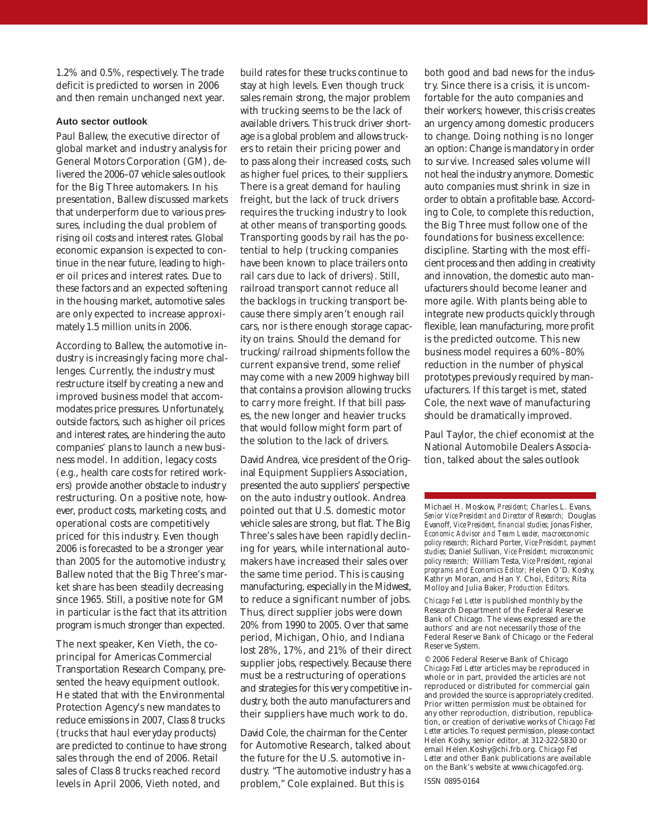1.2% and 0.5%, respectively. The trade deficit is predicted to worsen in 2006 and then remain unchanged next year.

## **Auto sector outlook**

Paul Ballew, the executive director of global market and industry analysis for General Motors Corporation (GM), delivered the 2006–07 vehicle sales outlook for the Big Three automakers. In his presentation, Ballew discussed markets that underperform due to various pressures, including the dual problem of rising oil costs and interest rates. Global economic expansion is expected to continue in the near future, leading to higher oil prices and interest rates. Due to these factors and an expected softening in the housing market, automotive sales are only expected to increase approximately 1.5 million units in 2006.

According to Ballew, the automotive industry is increasingly facing more challenges. Currently, the industry must restructure itself by creating a new and improved business model that accommodates price pressures. Unfortunately, outside factors, such as higher oil prices and interest rates, are hindering the auto companies' plans to launch a new business model. In addition, legacy costs (e.g., health care costs for retired workers) provide another obstacle to industry restructuring. On a positive note, however, product costs, marketing costs, and operational costs are competitively priced for this industry. Even though 2006 is forecasted to be a stronger year than 2005 for the automotive industry, Ballew noted that the Big Three's market share has been steadily decreasing since 1965. Still, a positive note for GM in particular is the fact that its attrition program is much stronger than expected.

The next speaker, Ken Vieth, the coprincipal for Americas Commercial Transportation Research Company, presented the heavy equipment outlook. He stated that with the Environmental Protection Agency's new mandates to reduce emissions in 2007, Class 8 trucks (trucks that haul everyday products) are predicted to continue to have strong sales through the end of 2006. Retail sales of Class 8 trucks reached record levels in April 2006, Vieth noted, and

build rates for these trucks continue to stay at high levels. Even though truck sales remain strong, the major problem with trucking seems to be the lack of available drivers. This truck driver shortage is a global problem and allows truckers to retain their pricing power and to pass along their increased costs, such as higher fuel prices, to their suppliers. There is a great demand for hauling freight, but the lack of truck drivers requires the trucking industry to look at other means of transporting goods. Transporting goods by rail has the potential to help (trucking companies have been known to place trailers onto rail cars due to lack of drivers). Still, railroad transport cannot reduce all the backlogs in trucking transport because there simply aren't enough rail cars, nor is there enough storage capacity on trains. Should the demand for trucking/railroad shipments follow the current expansive trend, some relief may come with a new 2009 highway bill that contains a provision allowing trucks to carry more freight. If that bill passes, the new longer and heavier trucks that would follow might form part of the solution to the lack of drivers.

David Andrea, vice president of the Original Equipment Suppliers Association, presented the auto suppliers' perspective on the auto industry outlook. Andrea pointed out that U.S. domestic motor vehicle sales are strong, but flat. The Big Three's sales have been rapidly declining for years, while international automakers have increased their sales over the same time period. This is causing manufacturing, especially in the Midwest, to reduce a significant number of jobs. Thus, direct supplier jobs were down 20% from 1990 to 2005. Over that same period, Michigan, Ohio, and Indiana lost 28%, 17%, and 21% of their direct supplier jobs, respectively. Because there must be a restructuring of operations and strategies for this very competitive industry, both the auto manufacturers and their suppliers have much work to do.

David Cole, the chairman for the Center for Automotive Research, talked about the future for the U.S. automotive industry. "The automotive industry has a problem," Cole explained. But this is

both good and bad news for the industry. Since there is a crisis, it is uncomfortable for the auto companies and their workers; however, this crisis creates an urgency among domestic producers to change. Doing nothing is no longer an option: Change is mandatory in order to survive. Increased sales volume will not heal the industry anymore. Domestic auto companies must shrink in size in order to obtain a profitable base. According to Cole, to complete this reduction, the Big Three must follow one of the foundations for business excellence: discipline. Starting with the most efficient process and then adding in creativity and innovation, the domestic auto manufacturers should become leaner and more agile. With plants being able to integrate new products quickly through flexible, lean manufacturing, more profit is the predicted outcome. This new business model requires a 60%–80% reduction in the number of physical prototypes previously required by manufacturers. If this target is met, stated Cole, the next wave of manufacturing should be dramatically improved.

Paul Taylor, the chief economist at the National Automobile Dealers Association, talked about the sales outlook

Michael H. Moskow, *President;* Charles L. Evans, *Senior Vice President and Director of Research;* Douglas Evanoff, *Vice President, financial studies;* Jonas Fisher, *Economic Advisor and Team Leader, macroeconomic policy research;* Richard Porter, *Vice President, payment studies;* Daniel Sullivan*, Vice President, microeconomic policy research;* William Testa, *Vice President, regional programs and Economics Editor;* Helen O'D. Koshy, Kathryn Moran, and Han Y. Choi, *Editors*; Rita Molloy and Julia Baker, *Production Editors.*

*Chicago Fed Letter* is published monthly by the Research Department of the Federal Reserve Bank of Chicago. The views expressed are the authors' and are not necessarily those of the Federal Reserve Bank of Chicago or the Federal Reserve System.

© 2006 Federal Reserve Bank of Chicago *Chicago Fed Letter* articles may be reproduced in whole or in part, provided the articles are not reproduced or distributed for commercial gain and provided the source is appropriately credited. Prior written permission must be obtained for any other reproduction, distribution, republication, or creation of derivative works of *Chicago Fed Letter* articles. To request permission, please contact Helen Koshy, senior editor, at 312-322-5830 or email Helen.Koshy@chi.frb.org. *Chicago Fed Letter* and other Bank publications are available on the Bank's website at www.chicagofed.org. ISSN 0895-0164